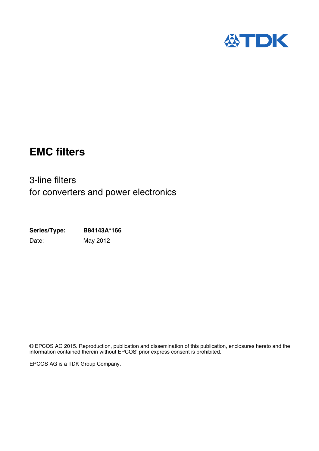

# **EMC filters**

3-line filters for converters and power electronics

**Series/Type: B84143A\*166** Date: May 2012

© EPCOS AG 2015. Reproduction, publication and dissemination of this publication, enclosures hereto and the information contained therein without EPCOS' prior express consent is prohibited.

EPCOS AG is a TDK Group Company.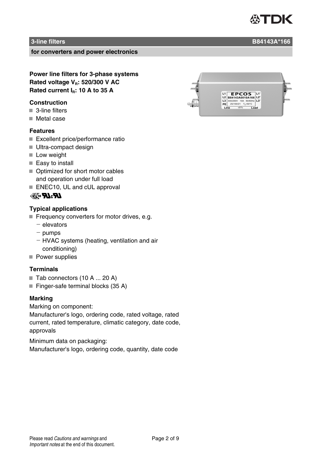# **3-line filters B84143A\*166**

**for converters and power electronics**

**Power line filters for 3-phase systems Rated voltage VR: 520/300 V AC Rated current IR: 10 A to 35 A**

#### **Construction**

- 3-line filters
- Metal case

#### **Features**

- Excellent price/performance ratio
- Ultra-compact design
- **Low weight**
- Easy to install
- Optimized for short motor cables and operation under full load
- ENEC10, UL and cUL approval

# **RACK**

### **Typical applications**

- $\blacksquare$  Frequency converters for motor drives, e.g.
	- $-$  elevators
	- $-$  pumps
	- HVAC systems (heating, ventilation and air conditioning)
- Power supplies

### **Terminals**

- $\blacksquare$  Tab connectors (10 A ... 20 A)
- $\blacksquare$  Finger-safe terminal blocks (35 A)

## **Marking**

Marking on component:

Manufacturer's logo, ordering code, rated voltage, rated current, rated temperature, climatic category, date code, approvals

Minimum data on packaging:

Manufacturer's logo, ordering code, quantity, date code

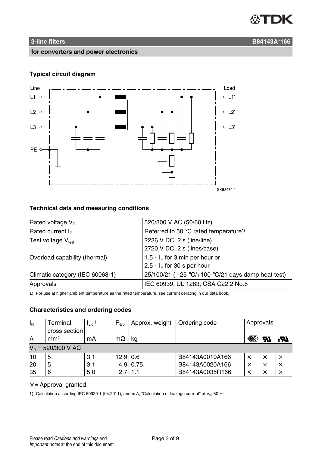

#### **for converters and power electronics**

### **Typical circuit diagram**



# **Technical data and measuring conditions**

| Rated voltage $V_{B}$           | 520/300 V AC (50/60 Hz)                              |  |
|---------------------------------|------------------------------------------------------|--|
| Rated current $I_{R}$           | Referred to 50 °C rated temperature <sup>1)</sup>    |  |
| Test voltage $V_{test}$         | 2236 V DC, 2 s (line/line)                           |  |
|                                 | 2720 V DC, 2 s (lines/case)                          |  |
| Overload capability (thermal)   | 1.5 $\cdot$ I <sub>B</sub> for 3 min per hour or     |  |
|                                 | $2.5 \cdot I_R$ for 30 s per hour                    |  |
| Climatic category (IEC 60068-1) | 25/100/21 ( $-25$ °C/+100 °C/21 days damp heat test) |  |
| Approvals                       | IEC 60939, UL 1283, CSA C22.2 No.8                   |  |

1) For use at higher ambient temperature as the rated temperature, see current derating in our data book.

## **Characteristics and ordering codes**

| $I_{\rm R}$          | Terminal        | $I_{LK}$ <sup>1)</sup> | $R_{typ}$  | Approx. weight | Ordering code   | Approvals |          |          |
|----------------------|-----------------|------------------------|------------|----------------|-----------------|-----------|----------|----------|
|                      | cross section   |                        |            |                |                 |           |          |          |
| A                    | mm <sup>2</sup> | mA                     | $m\Omega$  | ka             |                 | ⋘         | W        | 77.      |
| $V_B = 520/300$ V AC |                 |                        |            |                |                 |           |          |          |
| 10                   | 5               | 3.1                    | $12.9$ 0.6 |                | B84143A0010A166 | $\times$  | $\times$ |          |
| 20                   |                 | 3.1                    |            | $4.9$ 0.75     | B84143A0020A166 | $\times$  |          | $\times$ |
| 35                   | 6               | 5.0                    | 2.7        | l 1.1          | B84143A0035R166 | $\times$  |          |          |

#### $x =$  Approval granted

1) Calculation according IEC 60939-1 (04.2011), annex A, "Calculation of leakage current" at  $V_R$ , 50 Hz.

# **3-line filters** B84143A\*166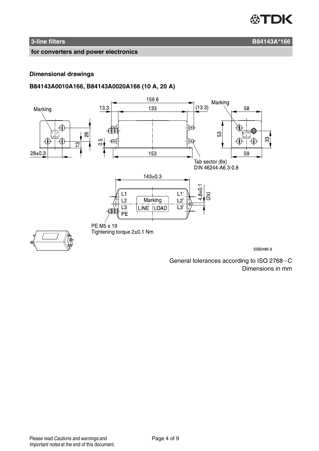

# **1 3-line filters** B84143A\*166

**for converters and power electronics**

#### **Dimensional drawings**

# **B84143A0010A166, B84143A0020A166 (10 A, 20 A)**



SSB2485-9

General tolerances according to ISO 2768-C Dimensions in mm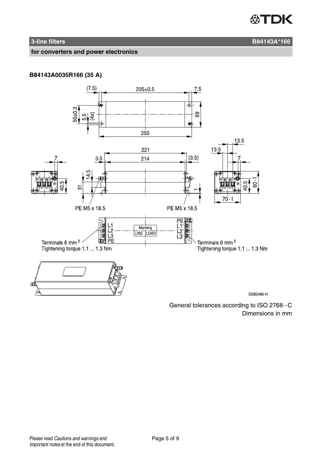

# **1 3-line filters** B84143A\*166

**for converters and power electronics**

# **B84143A0035R166 (35 A)**



General tolerances according to ISO 2768-C Dimensions in mm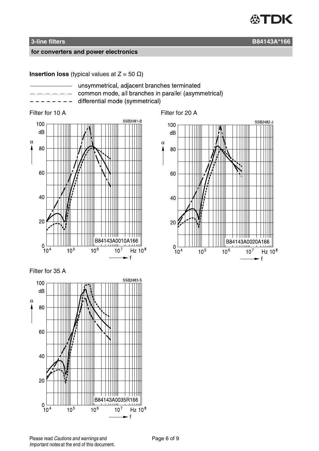

#### **for converters and power electronics**

#### **Insertion loss** (typical values at  $Z = 50 \Omega$ )

- 
- unsymmetrical, adjacent branches terminated common mode, all branches in parallel (asymmetrical)
	- differential mode (symmetrical)



### Filter for 35 A



Filter for 10 A Filter for 20 A



**3-line filters B84143A\*166**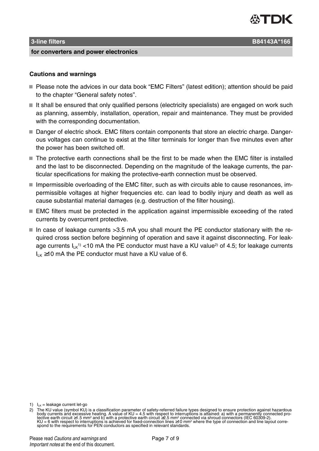

#### **3-line filters B84143A\*166**

**for converters and power electronics**

- Please note the advices in our data book "EMC Filters" (latest edition); attention should be paid to the chapter "General safety notes".
- $\blacksquare$  It shall be ensured that only qualified persons (electricity specialists) are engaged on work such as planning, assembly, installation, operation, repair and maintenance. They must be provided with the corresponding documentation.
- Danger of electric shock. EMC filters contain components that store an electric charge. Dangerous voltages can continue to exist at the filter terminals for longer than five minutes even after the power has been switched off.
- The protective earth connections shall be the first to be made when the EMC filter is installed and the last to be disconnected. Depending on the magnitude of the leakage currents, the particular specifications for making the protective-earth connection must be observed.
- $\blacksquare$  Impermissible overloading of the EMC filter, such as with circuits able to cause resonances, impermissible voltages at higher frequencies etc. can lead to bodily injury and death as well as cause substantial material damages (e.g. destruction of the filter housing).
- EMC filters must be protected in the application against impermissible exceeding of the rated currents by overcurrent protective.
- In case of leakage currents  $>3.5$  mA you shall mount the PE conductor stationary with the required cross section before beginning of operation and save it against disconnecting. For leakage currents  $I_{LK}$ <sup>1</sup>) <10 mA the PE conductor must have a KU value<sup>2)</sup> of 4.5; for leakage currents  $I_{LK} \ge 10$  mA the PE conductor must have a KU value of 6.

1)  $\mathbf{I}_{\mathbf{K}} = \mathbf{I}$ eakage current let-go

is a classification parameter of safety-referred failure types designed to ensure protection against hazardous 2 ( The Numan of the Lation of the state parameter of safety-referred failure types designed to ensurents an KU = 6 with respect to interruptions is achieved for fixed-connection lines ≥10 mm² where the type of connection and line layout corre-<br>spond to the requirements for PEN conductors as specified in relevant standards.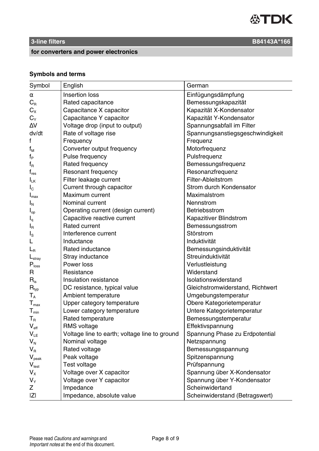

# **for converters and power electronics**

# **Symbols and terms**

| Symbol                        | English                                       | German                           |
|-------------------------------|-----------------------------------------------|----------------------------------|
| α                             | Insertion loss                                | Einfügungsdämpfung               |
| $C_R$                         | Rated capacitance                             | Bemessungskapazität              |
| $C_{X}$                       | Capacitance X capacitor                       | Kapazität X-Kondensator          |
| $C_{Y}$                       | Capacitance Y capacitor                       | Kapazität Y-Kondensator          |
| ΔV                            | Voltage drop (input to output)                | Spannungsabfall im Filter        |
| dv/dt                         | Rate of voltage rise                          | Spannungsanstiegsgeschwindigkeit |
| f                             | Frequency                                     | Frequenz                         |
| $\mathsf{f}_\mathsf{M}$       | Converter output frequency                    | Motorfrequenz                    |
| $f_{\mathsf{P}}$              | Pulse frequency                               | Pulsfrequenz                     |
| $f_R$                         | Rated frequency                               | Bemessungsfrequenz               |
| $f_{res}$                     | Resonant frequency                            | Resonanzfrequenz                 |
| $\mathsf{I}_{\mathsf{LK}}$    | Filter leakage current                        | Filter-Ableitstrom               |
| $I_{\rm C}$                   | Current through capacitor                     | Strom durch Kondensator          |
| $I_{\text{max}}$              | Maximum current                               | Maximalstrom                     |
| $I_N$                         | Nominal current                               | Nennstrom                        |
| $I_{op}$                      | Operating current (design current)            | Betriebsstrom                    |
| ı,                            | Capacitive reactive current                   | Kapazitiver Blindstrom           |
| $I_R$                         | <b>Rated current</b>                          | Bemessungsstrom                  |
| Ιs                            | Interference current                          | Störstrom                        |
| L                             | Inductance                                    | Induktivität                     |
| $\mathsf{L}_{\mathsf{R}}$     | Rated inductance                              | Bemessungsinduktivität           |
| $L_{\rm stray}$               | Stray inductance                              | Streuinduktivität                |
| $\mathsf{P}_{\mathsf{loss}}$  | Power loss                                    | Verlustleistung                  |
| R                             | Resistance                                    | Widerstand                       |
| $\mathsf{R}_{\mathsf{is}}$    | Insulation resistance                         | Isolationswiderstand             |
| $\mathsf{R}_{\mathsf{typ}}$   | DC resistance, typical value                  | Gleichstromwiderstand, Richtwert |
| $\mathsf{T}_\mathtt{A}$       | Ambient temperature                           | Umgebungstemperatur              |
| $T_{\text{max}}$              | Upper category temperature                    | Obere Kategorietemperatur        |
| $T_{min}$                     | Lower category temperature                    | Untere Kategorietemperatur       |
| $T_{\scriptscriptstyle\rm R}$ | Rated temperature                             | Bemessungstemperatur             |
| $V_{\text{eff}}$              | RMS voltage                                   | Effektivspannung                 |
| $V_{LE}$                      | Voltage line to earth; voltage line to ground | Spannung Phase zu Erdpotential   |
| $V_{N}$                       | Nominal voltage                               | Netzspannung                     |
| $\mathsf{V}_\mathsf{R}$       | Rated voltage                                 | Bemessungsspannung               |
| $V_{\text{peak}}$             | Peak voltage                                  | Spitzenspannung                  |
| $V_{test}$                    | Test voltage                                  | Prüfspannung                     |
| $V_{X}$                       | Voltage over X capacitor                      | Spannung über X-Kondensator      |
| $V_{Y}$                       | Voltage over Y capacitor                      | Spannung über Y-Kondensator      |
| z                             | Impedance                                     | Scheinwidertand                  |
| IZI                           | Impedance, absolute value                     | Scheinwiderstand (Betragswert)   |